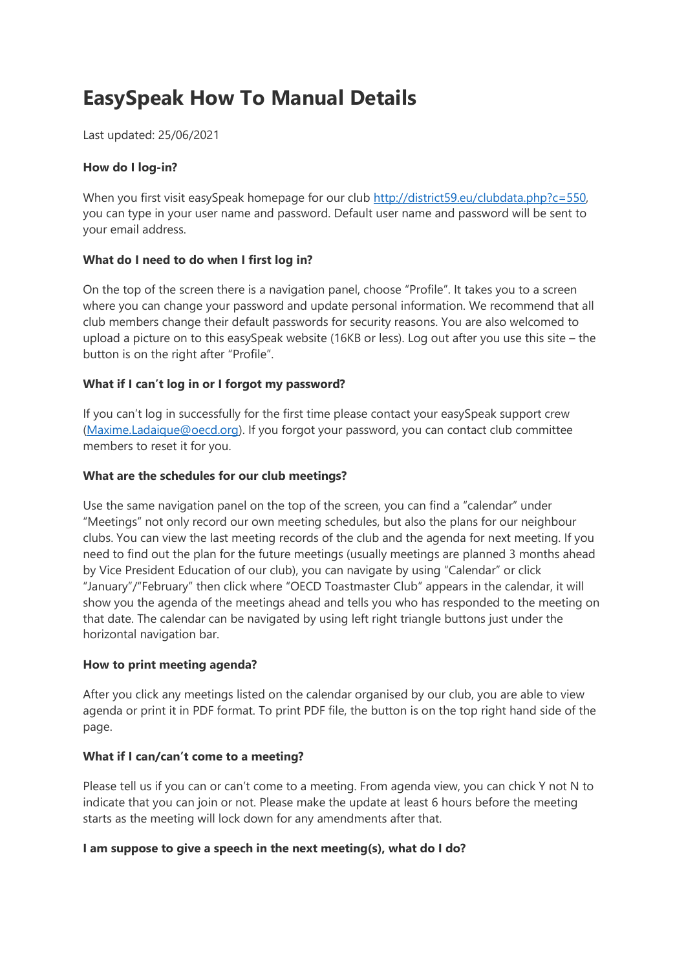# **EasySpeak How To Manual Details**

Last updated: 25/06/2021

## **How do I log-in?**

When you first visit easySpeak homepage for our club [http://district59.eu/clubdata.php?c=550,](http://district59.eu/clubdata.php?c=550) you can type in your user name and password. Default user name and password will be sent to your email address.

# **What do I need to do when I first log in?**

On the top of the screen there is a navigation panel, choose "Profile". It takes you to a screen where you can change your password and update personal information. We recommend that all club members change their default passwords for security reasons. You are also welcomed to upload a picture on to this easySpeak website (16KB or less). Log out after you use this site – the button is on the right after "Profile".

# **What if I can't log in or I forgot my password?**

If you can't log in successfully for the first time please contact your easySpeak support crew (Maxime.Ladaique@oecd.org). If you forgot your password, you can contact club committee members to reset it for you.

## **What are the schedules for our club meetings?**

Use the same navigation panel on the top of the screen, you can find a "calendar" under "Meetings" not only record our own meeting schedules, but also the plans for our neighbour clubs. You can view the last meeting records of the club and the agenda for next meeting. If you need to find out the plan for the future meetings (usually meetings are planned 3 months ahead by Vice President Education of our club), you can navigate by using "Calendar" or click "January"/"February" then click where "OECD Toastmaster Club" appears in the calendar, it will show you the agenda of the meetings ahead and tells you who has responded to the meeting on that date. The calendar can be navigated by using left right triangle buttons just under the horizontal navigation bar.

## **How to print meeting agenda?**

After you click any meetings listed on the calendar organised by our club, you are able to view agenda or print it in PDF format. To print PDF file, the button is on the top right hand side of the page.

## **What if I can/can't come to a meeting?**

Please tell us if you can or can't come to a meeting. From agenda view, you can chick Y not N to indicate that you can join or not. Please make the update at least 6 hours before the meeting starts as the meeting will lock down for any amendments after that.

## **I am suppose to give a speech in the next meeting(s), what do I do?**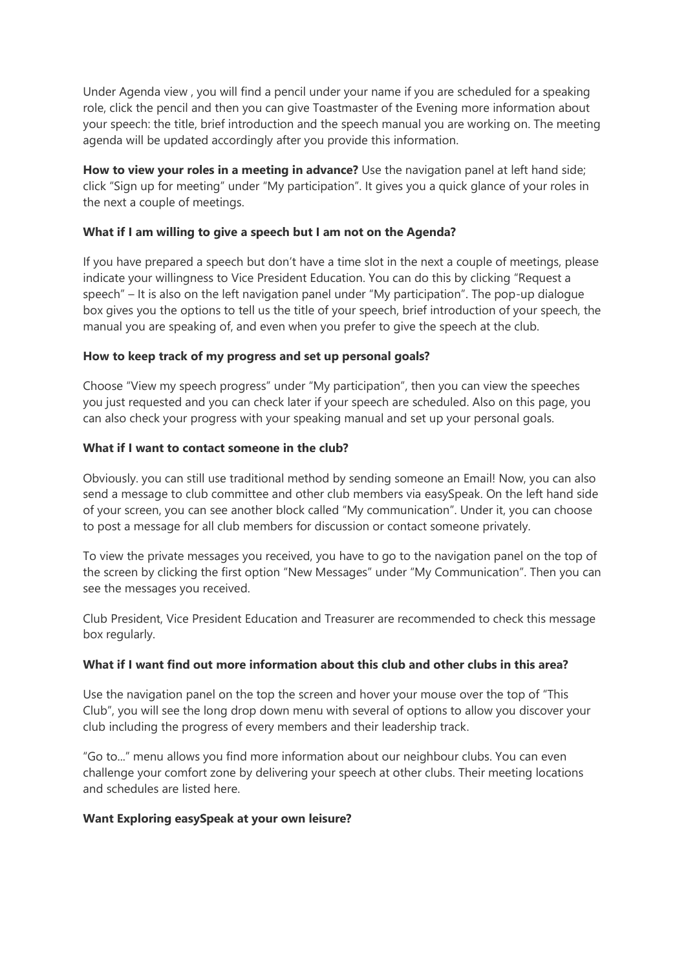Under Agenda view , you will find a pencil under your name if you are scheduled for a speaking role, click the pencil and then you can give Toastmaster of the Evening more information about your speech: the title, brief introduction and the speech manual you are working on. The meeting agenda will be updated accordingly after you provide this information.

**How to view your roles in a meeting in advance?** Use the navigation panel at left hand side; click "Sign up for meeting" under "My participation". It gives you a quick glance of your roles in the next a couple of meetings.

#### **What if I am willing to give a speech but I am not on the Agenda?**

If you have prepared a speech but don't have a time slot in the next a couple of meetings, please indicate your willingness to Vice President Education. You can do this by clicking "Request a speech" – It is also on the left navigation panel under "My participation". The pop-up dialogue box gives you the options to tell us the title of your speech, brief introduction of your speech, the manual you are speaking of, and even when you prefer to give the speech at the club.

#### **How to keep track of my progress and set up personal goals?**

Choose "View my speech progress" under "My participation", then you can view the speeches you just requested and you can check later if your speech are scheduled. Also on this page, you can also check your progress with your speaking manual and set up your personal goals.

#### **What if I want to contact someone in the club?**

Obviously. you can still use traditional method by sending someone an Email! Now, you can also send a message to club committee and other club members via easySpeak. On the left hand side of your screen, you can see another block called "My communication". Under it, you can choose to post a message for all club members for discussion or contact someone privately.

To view the private messages you received, you have to go to the navigation panel on the top of the screen by clicking the first option "New Messages" under "My Communication". Then you can see the messages you received.

Club President, Vice President Education and Treasurer are recommended to check this message box regularly.

#### **What if I want find out more information about this club and other clubs in this area?**

Use the navigation panel on the top the screen and hover your mouse over the top of "This Club", you will see the long drop down menu with several of options to allow you discover your club including the progress of every members and their leadership track.

"Go to..." menu allows you find more information about our neighbour clubs. You can even challenge your comfort zone by delivering your speech at other clubs. Their meeting locations and schedules are listed here.

#### **Want Exploring easySpeak at your own leisure?**